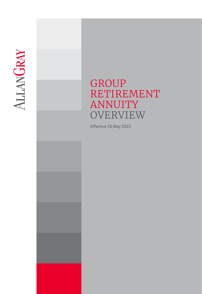

# GROUP RETIREMENT ANNUITY **OVERVIEW**

Effective 25 May 2022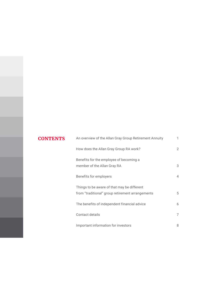# **CONTENTS** An overview of the Allan Gray Group Retirement Annuity 1 How does the Allan Gray Group RA work? 2 Benefits for the employee of becoming a member of the Allan Gray RA 3 Benefits for employers 4 Things to be aware of that may be different from "traditional" group retirement arrangements 5 The benefits of independent financial advice 6 Contact details 7 Important information for investors and the state of  $\sim$  8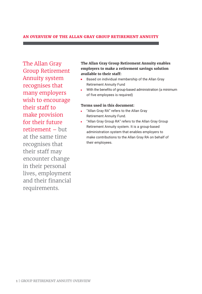# **AN OVERVIEW OF THE ALLAN GRAY GROUP RETIREMENT ANNUITY**

The Allan Gray Group Retirement Annuity system recognises that many employers wish to encourage their staff to make provision for their future retirement – but at the same time recognises that their staff may encounter change in their personal lives, employment and their financial requirements.

# **The Allan Gray Group Retirement Annuity enables employers to make a retirement savings solution available to their staff:**

- Based on individual membership of the Allan Gray Retirement Annuity Fund
- With the benefits of group-based administration (a minimum of five employees is required)

# **Terms used in this document:**

- "Allan Gray RA" refers to the Allan Gray Retirement Annuity Fund.
- "Allan Gray Group RA" refers to the Allan Gray Group Retirement Annuity system. It is a group-based administration system that enables employers to make contributions to the Allan Gray RA on behalf of their employees.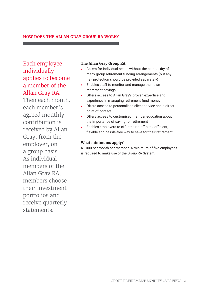# **HOW DOES THE ALLAN GRAY GROUP RA WORK?**

Each employee individually applies to become a member of the Allan Gray RA.

Then each month, each member's agreed monthly contribution is received by Allan Gray, from the employer, on a group basis. As individual members of the Allan Gray RA, members choose their investment portfolios and receive quarterly statements.

# **The Allan Gray Group RA:**

- Caters for individual needs without the complexity of many group retirement funding arrangements (but any risk protection should be provided separately)
- $\mathbf{u}^{\dagger}$ Enables staff to monitor and manage their own retirement savings
- Offers access to Allan Gray's proven expertise and experience in managing retirement fund money
- Offers access to personalised client service and a direct point of contact
- Offers access to customised member education about the importance of saving for retirement
- Enables employers to offer their staff a tax-efficient, flexible and hassle-free way to save for their retirement

# **What minimums apply?**

R1 000 per month per member. A minimum of five employees is required to make use of the Group RA System.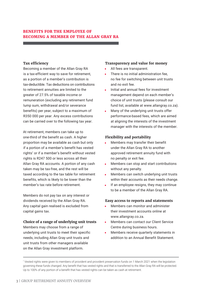# **BENEFITS FOR THE EMPLOYEE OF BECOMING A MEMBER OF THE ALLAN GRAY RA**

# **Tax efficiency**

Becoming a member of the Allan Gray RA is a tax-efficient way to save for retirement, as a portion of a member's contribution is tax-deductible. Tax deductions on contributions to retirement annuities are limited to the greater of 27.5% of taxable income or remuneration (excluding any retirement fund lump sum, withdrawal and/or severance benefits) per year, subject to a maximum of R350 000 per year. Any excess contributions can be carried over to the following tax year.

At retirement, members can take up to one-third of the benefit as cash. A higher proportion may be available as cash but only if a portion of a member's benefit has vested rights\* or if a member's benefit without vested rights is R247 500 or less across all their Allan Gray RA accounts. A portion of any cash taken may be tax-free, and the rest will be taxed according to the tax table for retirement benefits, which is likely to be lower than the member's tax rate before retirement.

Members do not pay tax on any interest or dividends received by the Allan Gray RA. Any capital gain realised is excluded from capital gains tax.

#### **Choice of a range of underlying unit trusts**

Members may choose from a range of underlying unit trusts to meet their specific needs, including Allan Gray unit trusts and unit trusts from other managers available on the Allan Gray investment platform.

#### **Transparency and value for money**

- All fees are transparent.
- There is no initial administration fee, no fee for switching between unit trusts and no exit fee.
- Initial and annual fees for investment management depend on each member's choice of unit trusts (please consult our fund list, available at www.allangray.co.za).
- Many of the underlying unit trusts offer performance-based fees, which are aimed at aligning the interests of the investment manager with the interests of the member.

# **Flexibility and portability**

- ä, Members may transfer their benefit under the Allan Gray RA to another approved retirement annuity fund with no penalty or exit fee.
- Members can stop and start contributions without any penalty.
- Members can switch underlying unit trusts within their accounts as their needs change.
- If an employee resigns, they may continue to be a member of the Allan Gray RA.

#### **Easy access to reports and statements**

- Members can monitor and administer their investment accounts online at www.allangray.co.za.
- Members can contact our Client Service  $\mathbf{m} = 0$ Centre during business hours.
- Members receive quarterly statements in addition to an Annual Benefit Statement.

<sup>\*</sup> Vested rights were given to members of provident and provident preservation funds on 1 March 2021 when the legislation governing these funds changed. Any benefit that has vested rights and that is transferred to the Allan Gray RA will be protected. Up to 100% of any portion of a benefit that has vested rights can be taken as cash at retirement.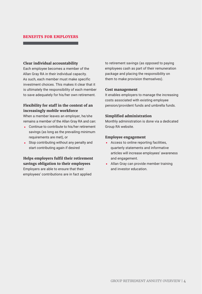# **BENEFITS FOR EMPLOYERS**

#### **Clear individual accountability**

Each employee becomes a member of the Allan Gray RA in their individual capacity. As such, each member must make specific investment choices. This makes it clear that it is ultimately the responsibility of each member to save adequately for his/her own retirement.

# **Flexibility for staff in the context of an increasingly mobile workforce**

When a member leaves an employer, he/she remains a member of the Allan Gray RA and can:

- **Continue to contribute to his/her retirement** savings (as long as the prevailing minimum requirements are met), or
- **Stop contributing without any penalty and** start contributing again if desired

# **Helps employers fulfil their retirement savings obligation to their employees** Employers are able to ensure that their

employees' contributions are in fact applied

to retirement savings (as opposed to paying employees cash as part of their remuneration package and placing the responsibility on them to make provision themselves).

#### **Cost management**

It enables employers to manage the increasing costs associated with existing employee pension/provident funds and umbrella funds.

#### **Simplified administration**

Monthly administration is done via a dedicated Group RA website.

#### **Employee engagement**

- **Access to online reporting facilities,** quarterly statements and informative articles will increase employees' awareness and engagement.
- **Allan Gray can provide member training** and investor education.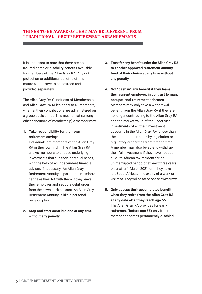# **THINGS TO BE AWARE OF THAT MAY BE DIFFERENT FROM "TRADITIONAL" GROUP RETIREMENT ARRANGEMENTS**

It is important to note that there are no insured death or disability benefits available for members of the Allan Gray RA. Any risk protection or additional benefits of this nature would have to be sourced and provided separately.

The Allan Gray RA Conditions of Membership and Allan Gray RA Rules apply to all members, whether their contributions are administered on a group basis or not. This means that (among other conditions of membership) a member may:

# **1. Take responsibility for their own retirement savings**

Individuals are members of the Allan Gray RA in their own right. The Allan Gray RA allows members to choose underlying investments that suit their individual needs, with the help of an independent financial adviser, if necessary. An Allan Gray Retirement Annuity is portable – members can take their RA with them if they leave their employer and set up a debit order from their own bank account. An Allan Gray Retirement Annuity is like a personal pension plan.

# **2. Stop and start contributions at any time without any penalty**

- **3. Transfer any benefit under the Allan Gray RA to another approved retirement annuity fund of their choice at any time without any penalty**
- **4. Not "cash in" any benefit if they leave their current employer, in contrast to many occupational retirement schemes** Members may only take a withdrawal benefit from the Allan Gray RA if they are no longer contributing to the Allan Gray RA and the market value of the underlying investments of all their investment accounts in the Allan Gray RA is less than the amount determined by legislation or regulatory authorities from time to time. A member may also be able to withdraw their full investment if they have not been a South African tax resident for an uninterrupted period of at least three years on or after 1 March 2021, or if they have left South Africa at the expiry of a work or visit visa. They will be taxed on their withdrawal.
- **5. Only access their accumulated benefit when they retire from the Allan Gray RA at any date after they reach age 55**  The Allan Gray RA provides for early retirement (before age 55) only if the member becomes permanently disabled.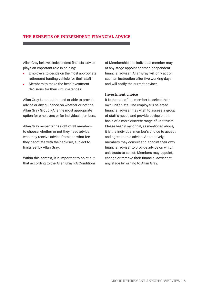# **THE BENEFITS OF INDEPENDENT FINANCIAL ADVICE**

Allan Gray believes independent financial advice plays an important role in helping:

- Employers to decide on the most appropriate retirement funding vehicle for their staff
- Members to make the best investment decisions for their circumstances

Allan Gray is not authorised or able to provide advice or any guidance on whether or not the Allan Gray Group RA is the most appropriate option for employers or for individual members.

Allan Gray respects the right of all members to choose whether or not they need advice, who they receive advice from and what fee they negotiate with their adviser, subject to limits set by Allan Gray.

Within this context, it is important to point out that according to the Allan Gray RA Conditions of Membership, the individual member may at any stage appoint another independent financial adviser. Allan Gray will only act on such an instruction after five working days and will notify the current adviser.

# **Investment choice**

It is the role of the member to select their own unit trusts. The employer's selected financial adviser may wish to assess a group of staff's needs and provide advice on the basis of a more discrete range of unit trusts. Please bear in mind that, as mentioned above, it is the individual member's choice to accept and agree to this advice. Alternatively, members may consult and appoint their own financial adviser to provide advice on which unit trusts to select. Members may appoint, change or remove their financial adviser at any stage by writing to Allan Gray.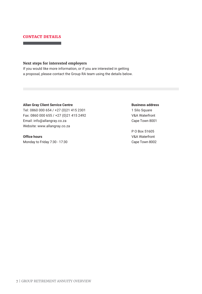# **CONTACT DETAILS**

## **Next steps for interested employers**

If you would like more information, or if you are interested in getting a proposal, please contact the Group RA team using the details below.

#### **Allan Gray Client Service Centre**

Tel: 0860 000 654 / +27 (0)21 415 2301 Fax: 0860 000 655 / +27 (0)21 415 2492 Email: info@allangray.co.za Website: www.allangray.co.za

# **Office hours**

Monday to Friday 7:30 - 17:30

#### **Business address**

1 Silo Square V&A Waterfront Cape Town 8001

P O Box 51605 V&A Waterfront Cape Town 8002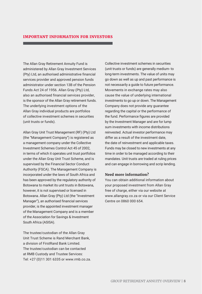# **IMPORTANT INFORMATION FOR INVESTORS**

The Allan Gray Retirement Annuity Fund is administered by Allan Gray Investment Services (Pty) Ltd, an authorised administrative financial services provider and approved pension funds administrator under section 13B of the Pension Funds Act 24 of 1956. Allan Gray (Pty) Ltd, also an authorised financial services provider, is the sponsor of the Allan Gray retirement funds. The underlying investment options of the Allan Gray individual products are portfolios of collective investment schemes in securities (unit trusts or funds).

Allan Gray Unit Trust Management (RF) (Pty) Ltd (the "Management Company") is registered as a management company under the Collective Investment Schemes Control Act 45 of 2002, in terms of which it operates unit trust portfolios under the Allan Gray Unit Trust Scheme, and is supervised by the Financial Sector Conduct Authority (FSCA). The Management Company is incorporated under the laws of South Africa and has been approved by the regulatory authority of Botswana to market its unit trusts in Botswana, however, it is not supervised or licensed in Botswana. Allan Gray (Pty) Ltd (the "Investment Manager"), an authorised financial services provider, is the appointed investment manager of the Management Company and is a member of the Association for Savings & Investment South Africa (ASISA).

The trustee/custodian of the Allan Gray Unit Trust Scheme is Rand Merchant Bank, a division of FirstRand Bank Limited. The trustee/custodian can be contacted at RMB Custody and Trustee Services: Tel: +27 (0)11 301 6335 or www.rmb.co.za. Collective investment schemes in securities (unit trusts or funds) are generally medium- to long-term investments. The value of units may go down as well as up and past performance is not necessarily a guide to future performance. Movements in exchange rates may also cause the value of underlying international investments to go up or down. The Management Company does not provide any guarantee regarding the capital or the performance of the fund. Performance figures are provided by the Investment Manager and are for lump sum investments with income distributions reinvested. Actual investor performance may differ as a result of the investment date, the date of reinvestment and applicable taxes. Funds may be closed to new investments at any time in order to be managed according to their mandates. Unit trusts are traded at ruling prices and can engage in borrowing and scrip lending.

#### **Need more information?**

You can obtain additional information about your proposed investment from Allan Gray free of charge, either via our website at www.allangray.co.za or via our Client Service Centre on 0860 000 654.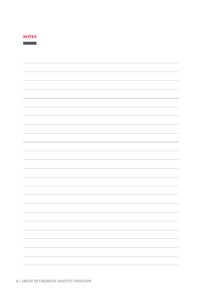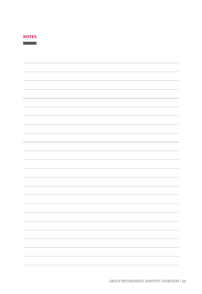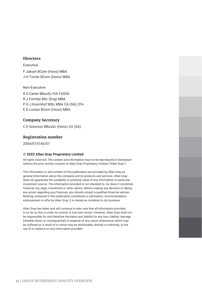# **Directors**

Executive

F Jakoet BCom (Hons) MBA J H Turner BCom (Hons) MBA

Non-Executive

R S Carter BBusSc FIA FASSA R J Formby BSc (Eng) MBA P G J Koornhof MSc MBA CA (SA) CFA E D Loxton BCom (Hons) MBA

## **Company Secretary**

C E Solomon BBusSc (Hons) CA (SA)

# **Registration number**

2004/015145/07

#### **© 2022 Allan Gray Proprietary Limited**

All rights reserved. The content and information may not be reproduced or distributed without the prior written consent of Allan Gray Proprietary Limited ("Allan Gray").

The information in and content of this publication are provided by Allan Gray as general information about the company and its products and services. Allan Gray does not guarantee the suitability or potential value of any information or particular investment source. The information provided is not intended to, nor does it constitute financial, tax, legal, investment or other advice. Before making any decision or taking any action regarding your finances, you should consult a qualified financial adviser. Nothing contained in this publication constitutes a solicitation, recommendation, endorsement or offer by Allan Gray; it is merely an invitation to do business.

Allan Gray has taken and will continue to take care that all information provided, in so far as this is under its control, is true and correct. However, Allan Gray shall not be responsible for and therefore disclaims any liability for any loss, liability, damage (whether direct or consequential) or expense of any nature whatsoever which may be suffered as a result of or which may be attributable, directly or indirectly, to the use of or reliance on any information provided.